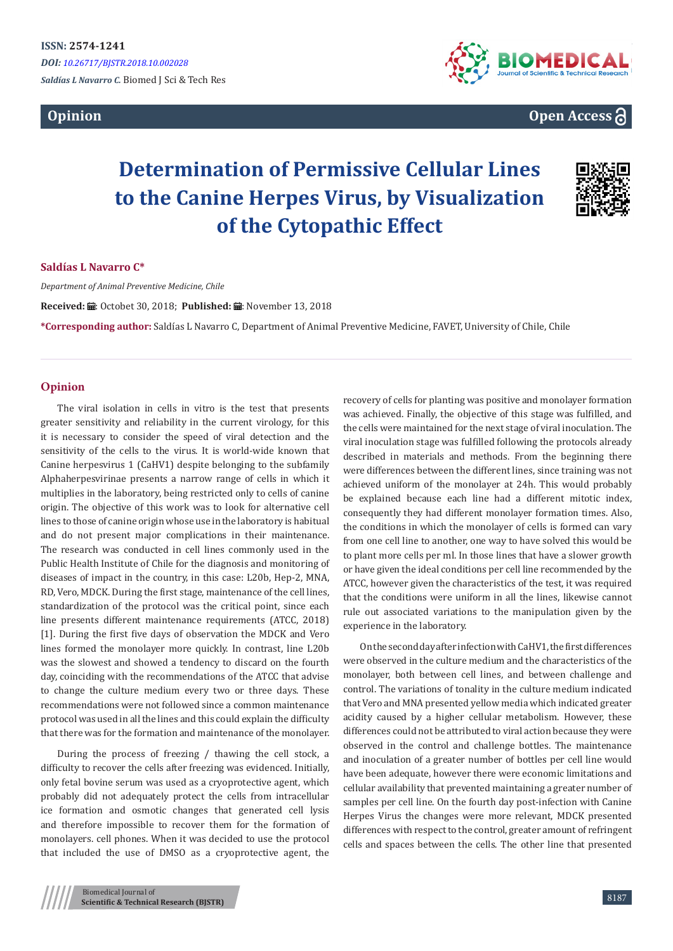



**Open Access**

# **Determination of Permissive Cellular Lines to the Canine Herpes Virus, by Visualization of the Cytopathic Effect**



### **Saldías L Navarro C\***

*Department of Animal Preventive Medicine, Chile*

Received: *a* : Octobet 30, 2018; Published: a : November 13, 2018

**\*Corresponding author:** Saldías L Navarro C, Department of Animal Preventive Medicine, FAVET, University of Chile, Chile

## **Opinion**

The viral isolation in cells in vitro is the test that presents greater sensitivity and reliability in the current virology, for this it is necessary to consider the speed of viral detection and the sensitivity of the cells to the virus. It is world-wide known that Canine herpesvirus 1 (CaHV1) despite belonging to the subfamily Alphaherpesvirinae presents a narrow range of cells in which it multiplies in the laboratory, being restricted only to cells of canine origin. The objective of this work was to look for alternative cell lines to those of canine origin whose use in the laboratory is habitual and do not present major complications in their maintenance. The research was conducted in cell lines commonly used in the Public Health Institute of Chile for the diagnosis and monitoring of diseases of impact in the country, in this case: L20b, Hep-2, MNA, RD, Vero, MDCK. During the first stage, maintenance of the cell lines, standardization of the protocol was the critical point, since each line presents different maintenance requirements (ATCC, 2018) [1]. During the first five days of observation the MDCK and Vero lines formed the monolayer more quickly. In contrast, line L20b was the slowest and showed a tendency to discard on the fourth day, coinciding with the recommendations of the ATCC that advise to change the culture medium every two or three days. These recommendations were not followed since a common maintenance protocol was used in all the lines and this could explain the difficulty that there was for the formation and maintenance of the monolayer.

During the process of freezing / thawing the cell stock, a difficulty to recover the cells after freezing was evidenced. Initially, only fetal bovine serum was used as a cryoprotective agent, which probably did not adequately protect the cells from intracellular ice formation and osmotic changes that generated cell lysis and therefore impossible to recover them for the formation of monolayers. cell phones. When it was decided to use the protocol that included the use of DMSO as a cryoprotective agent, the

recovery of cells for planting was positive and monolayer formation was achieved. Finally, the objective of this stage was fulfilled, and the cells were maintained for the next stage of viral inoculation. The viral inoculation stage was fulfilled following the protocols already described in materials and methods. From the beginning there were differences between the different lines, since training was not achieved uniform of the monolayer at 24h. This would probably be explained because each line had a different mitotic index, consequently they had different monolayer formation times. Also, the conditions in which the monolayer of cells is formed can vary from one cell line to another, one way to have solved this would be to plant more cells per ml. In those lines that have a slower growth or have given the ideal conditions per cell line recommended by the ATCC, however given the characteristics of the test, it was required that the conditions were uniform in all the lines, likewise cannot rule out associated variations to the manipulation given by the experience in the laboratory.

On the second day after infection with CaHV1, the first differences were observed in the culture medium and the characteristics of the monolayer, both between cell lines, and between challenge and control. The variations of tonality in the culture medium indicated that Vero and MNA presented yellow media which indicated greater acidity caused by a higher cellular metabolism. However, these differences could not be attributed to viral action because they were observed in the control and challenge bottles. The maintenance and inoculation of a greater number of bottles per cell line would have been adequate, however there were economic limitations and cellular availability that prevented maintaining a greater number of samples per cell line. On the fourth day post-infection with Canine Herpes Virus the changes were more relevant, MDCK presented differences with respect to the control, greater amount of refringent cells and spaces between the cells. The other line that presented